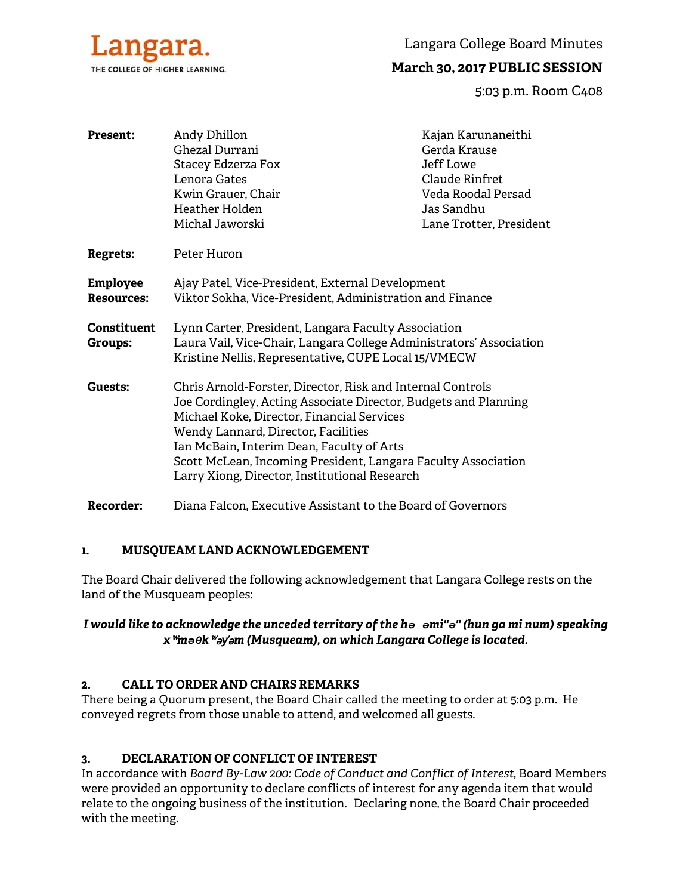

Langara College Board Minutes

# **March 30, 2017 PUBLIC SESSION**

5:03 p.m. Room C408

| <b>Present:</b>                      | Andy Dhillon<br>Ghezal Durrani<br>Stacey Edzerza Fox<br>Lenora Gates<br>Kwin Grauer, Chair<br>Heather Holden<br>Michal Jaworski                                                                                                                                                                                                                                                   | Kajan Karunaneithi<br>Gerda Krause<br>Jeff Lowe<br>Claude Rinfret<br>Veda Roodal Persad<br>Jas Sandhu<br>Lane Trotter, President |
|--------------------------------------|-----------------------------------------------------------------------------------------------------------------------------------------------------------------------------------------------------------------------------------------------------------------------------------------------------------------------------------------------------------------------------------|----------------------------------------------------------------------------------------------------------------------------------|
| <b>Regrets:</b>                      | Peter Huron                                                                                                                                                                                                                                                                                                                                                                       |                                                                                                                                  |
| <b>Employee</b><br><b>Resources:</b> | Ajay Patel, Vice-President, External Development<br>Viktor Sokha, Vice-President, Administration and Finance                                                                                                                                                                                                                                                                      |                                                                                                                                  |
| <b>Constituent</b><br><b>Groups:</b> | Lynn Carter, President, Langara Faculty Association<br>Laura Vail, Vice-Chair, Langara College Administrators' Association<br>Kristine Nellis, Representative, CUPE Local 15/VMECW                                                                                                                                                                                                |                                                                                                                                  |
| Guests:                              | Chris Arnold-Forster, Director, Risk and Internal Controls<br>Joe Cordingley, Acting Associate Director, Budgets and Planning<br>Michael Koke, Director, Financial Services<br>Wendy Lannard, Director, Facilities<br>Ian McBain, Interim Dean, Faculty of Arts<br>Scott McLean, Incoming President, Langara Faculty Association<br>Larry Xiong, Director, Institutional Research |                                                                                                                                  |
| Recorder:                            | Diana Falcon, Executive Assistant to the Board of Governors                                                                                                                                                                                                                                                                                                                       |                                                                                                                                  |

# **1. MUSQUEAM LAND ACKNOWLEDGEMENT**

The Board Chair delivered the following acknowledgement that Langara College rests on the land of the Musqueam peoples:

# *I would like to acknowledge the unceded territory of the hə əmi"ə" (hun ga mi num) speaking x*ʷ*məθk*ʷə*y*̓ə*m (Musqueam), on which Langara College is located.*

## **2. CALL TO ORDER AND CHAIRS REMARKS**

There being a Quorum present, the Board Chair called the meeting to order at 5:03 p.m. He conveyed regrets from those unable to attend, and welcomed all guests.

# **3. DECLARATION OF CONFLICT OF INTEREST**

In accordance with *Board By-Law 200: Code of Conduct and Conflict of Interest*, Board Members were provided an opportunity to declare conflicts of interest for any agenda item that would relate to the ongoing business of the institution. Declaring none, the Board Chair proceeded with the meeting.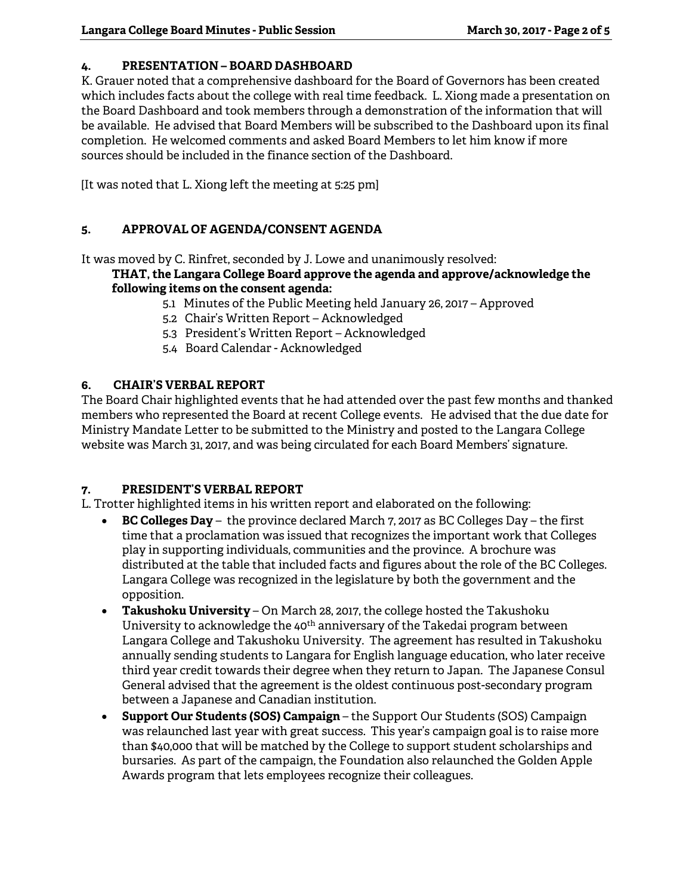# **4. PRESENTATION – BOARD DASHBOARD**

K. Grauer noted that a comprehensive dashboard for the Board of Governors has been created which includes facts about the college with real time feedback. L. Xiong made a presentation on the Board Dashboard and took members through a demonstration of the information that will be available. He advised that Board Members will be subscribed to the Dashboard upon its final completion. He welcomed comments and asked Board Members to let him know if more sources should be included in the finance section of the Dashboard.

[It was noted that L. Xiong left the meeting at 5:25 pm]

# **5. APPROVAL OF AGENDA/CONSENT AGENDA**

It was moved by C. Rinfret, seconded by J. Lowe and unanimously resolved:

### **THAT, the Langara College Board approve the agenda and approve/acknowledge the following items on the consent agenda:**

- 5.1 Minutes of the Public Meeting held January 26, 2017 Approved
- 5.2 Chair's Written Report Acknowledged
- 5.3 President's Written Report Acknowledged
- 5.4 Board Calendar Acknowledged

# **6. CHAIR'S VERBAL REPORT**

The Board Chair highlighted events that he had attended over the past few months and thanked members who represented the Board at recent College events. He advised that the due date for Ministry Mandate Letter to be submitted to the Ministry and posted to the Langara College website was March 31, 2017, and was being circulated for each Board Members' signature.

### **7. PRESIDENT'S VERBAL REPORT**

L. Trotter highlighted items in his written report and elaborated on the following:

- **BC Colleges Day** the province declared March 7, 2017 as BC Colleges Day the first time that a proclamation was issued that recognizes the important work that Colleges play in supporting individuals, communities and the province. A brochure was distributed at the table that included facts and figures about the role of the BC Colleges. Langara College was recognized in the legislature by both the government and the opposition.
- **Takushoku University**  On March 28, 2017, the college hosted the Takushoku University to acknowledge the  $40<sup>th</sup>$  anniversary of the Takedai program between Langara College and Takushoku University. The agreement has resulted in Takushoku annually sending students to Langara for English language education, who later receive third year credit towards their degree when they return to Japan. The Japanese Consul General advised that the agreement is the oldest continuous post-secondary program between a Japanese and Canadian institution.
- **Support Our Students (SOS) Campaign**  the Support Our Students (SOS) Campaign was relaunched last year with great success. This year's campaign goal is to raise more than \$40,000 that will be matched by the College to support student scholarships and bursaries. As part of the campaign, the Foundation also relaunched the Golden Apple Awards program that lets employees recognize their colleagues.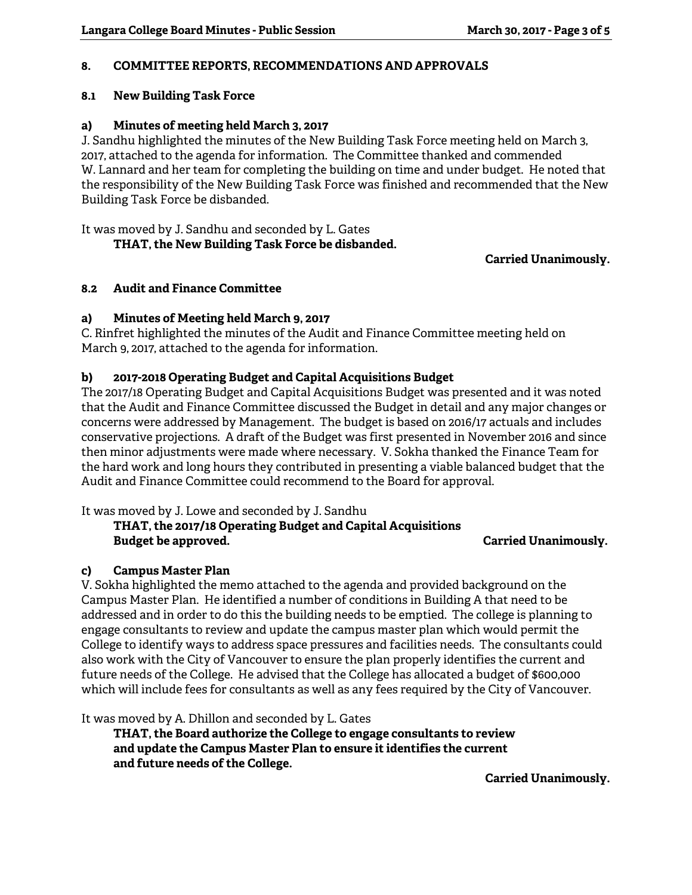### **8. COMMITTEE REPORTS, RECOMMENDATIONS AND APPROVALS**

#### **8.1 New Building Task Force**

#### **a) Minutes of meeting held March 3, 2017**

J. Sandhu highlighted the minutes of the New Building Task Force meeting held on March 3, 2017, attached to the agenda for information. The Committee thanked and commended W. Lannard and her team for completing the building on time and under budget. He noted that the responsibility of the New Building Task Force was finished and recommended that the New Building Task Force be disbanded.

It was moved by J. Sandhu and seconded by L. Gates

 **THAT, the New Building Task Force be disbanded.** 

### **Carried Unanimously.**

#### **8.2 Audit and Finance Committee**

#### **a) Minutes of Meeting held March 9, 2017**

C. Rinfret highlighted the minutes of the Audit and Finance Committee meeting held on March 9, 2017, attached to the agenda for information.

### **b) 2017-2018 Operating Budget and Capital Acquisitions Budget**

The 2017/18 Operating Budget and Capital Acquisitions Budget was presented and it was noted that the Audit and Finance Committee discussed the Budget in detail and any major changes or concerns were addressed by Management. The budget is based on 2016/17 actuals and includes conservative projections. A draft of the Budget was first presented in November 2016 and since then minor adjustments were made where necessary. V. Sokha thanked the Finance Team for the hard work and long hours they contributed in presenting a viable balanced budget that the Audit and Finance Committee could recommend to the Board for approval.

It was moved by J. Lowe and seconded by J. Sandhu

### **THAT, the 2017/18 Operating Budget and Capital Acquisitions Budget be approved.** The contract of the carried Unanimously.

#### **c) Campus Master Plan**

V. Sokha highlighted the memo attached to the agenda and provided background on the Campus Master Plan. He identified a number of conditions in Building A that need to be addressed and in order to do this the building needs to be emptied. The college is planning to engage consultants to review and update the campus master plan which would permit the College to identify ways to address space pressures and facilities needs. The consultants could also work with the City of Vancouver to ensure the plan properly identifies the current and future needs of the College. He advised that the College has allocated a budget of \$600,000 which will include fees for consultants as well as any fees required by the City of Vancouver.

It was moved by A. Dhillon and seconded by L. Gates

 **THAT, the Board authorize the College to engage consultants to review and update the Campus Master Plan to ensure it identifies the current and future needs of the College.** 

**Carried Unanimously.**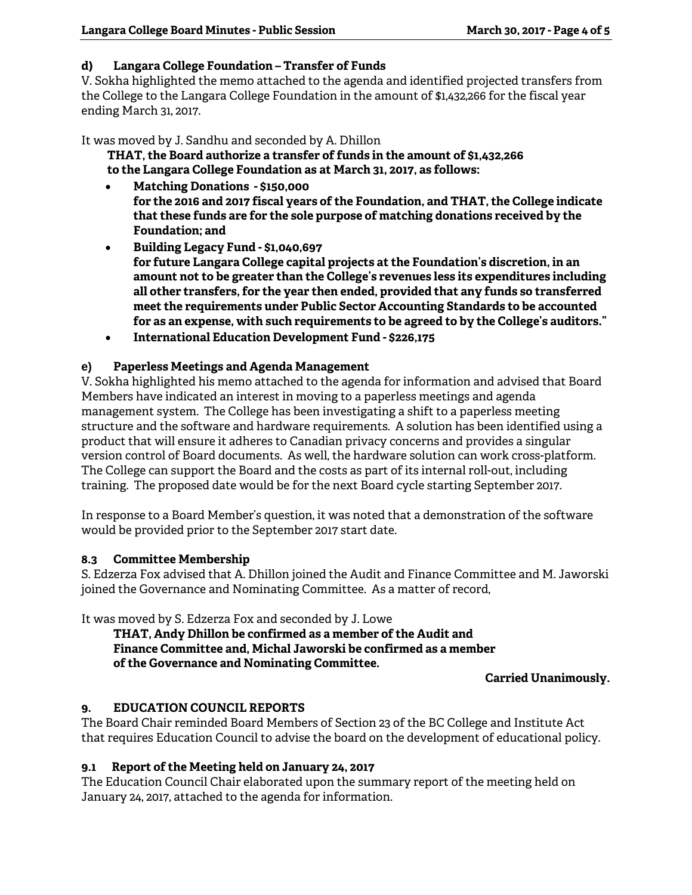## **d) Langara College Foundation – Transfer of Funds**

V. Sokha highlighted the memo attached to the agenda and identified projected transfers from the College to the Langara College Foundation in the amount of \$1,432,266 for the fiscal year ending March 31, 2017.

It was moved by J. Sandhu and seconded by A. Dhillon

 **THAT, the Board authorize a transfer of funds in the amount of \$1,432,266 to the Langara College Foundation as at March 31, 2017, as follows:** 

- **Matching Donations \$150,000 for the 2016 and 2017 fiscal years of the Foundation, and THAT, the College indicate that these funds are for the sole purpose of matching donations received by the Foundation; and**
- **Building Legacy Fund \$1,040,697 for future Langara College capital projects at the Foundation's discretion, in an amount not to be greater than the College's revenues less its expenditures including all other transfers, for the year then ended, provided that any funds so transferred meet the requirements under Public Sector Accounting Standards to be accounted for as an expense, with such requirements to be agreed to by the College's auditors."**
- **International Education Development Fund \$226,175**

# **e) Paperless Meetings and Agenda Management**

V. Sokha highlighted his memo attached to the agenda for information and advised that Board Members have indicated an interest in moving to a paperless meetings and agenda management system. The College has been investigating a shift to a paperless meeting structure and the software and hardware requirements. A solution has been identified using a product that will ensure it adheres to Canadian privacy concerns and provides a singular version control of Board documents. As well, the hardware solution can work cross-platform. The College can support the Board and the costs as part of its internal roll-out, including training. The proposed date would be for the next Board cycle starting September 2017.

In response to a Board Member's question, it was noted that a demonstration of the software would be provided prior to the September 2017 start date.

### **8.3 Committee Membership**

S. Edzerza Fox advised that A. Dhillon joined the Audit and Finance Committee and M. Jaworski joined the Governance and Nominating Committee. As a matter of record,

It was moved by S. Edzerza Fox and seconded by J. Lowe

 **THAT, Andy Dhillon be confirmed as a member of the Audit and Finance Committee and, Michal Jaworski be confirmed as a member of the Governance and Nominating Committee.** 

**Carried Unanimously.** 

# **9. EDUCATION COUNCIL REPORTS**

The Board Chair reminded Board Members of Section 23 of the BC College and Institute Act that requires Education Council to advise the board on the development of educational policy.

### **9.1 Report of the Meeting held on January 24, 2017**

The Education Council Chair elaborated upon the summary report of the meeting held on January 24, 2017, attached to the agenda for information.